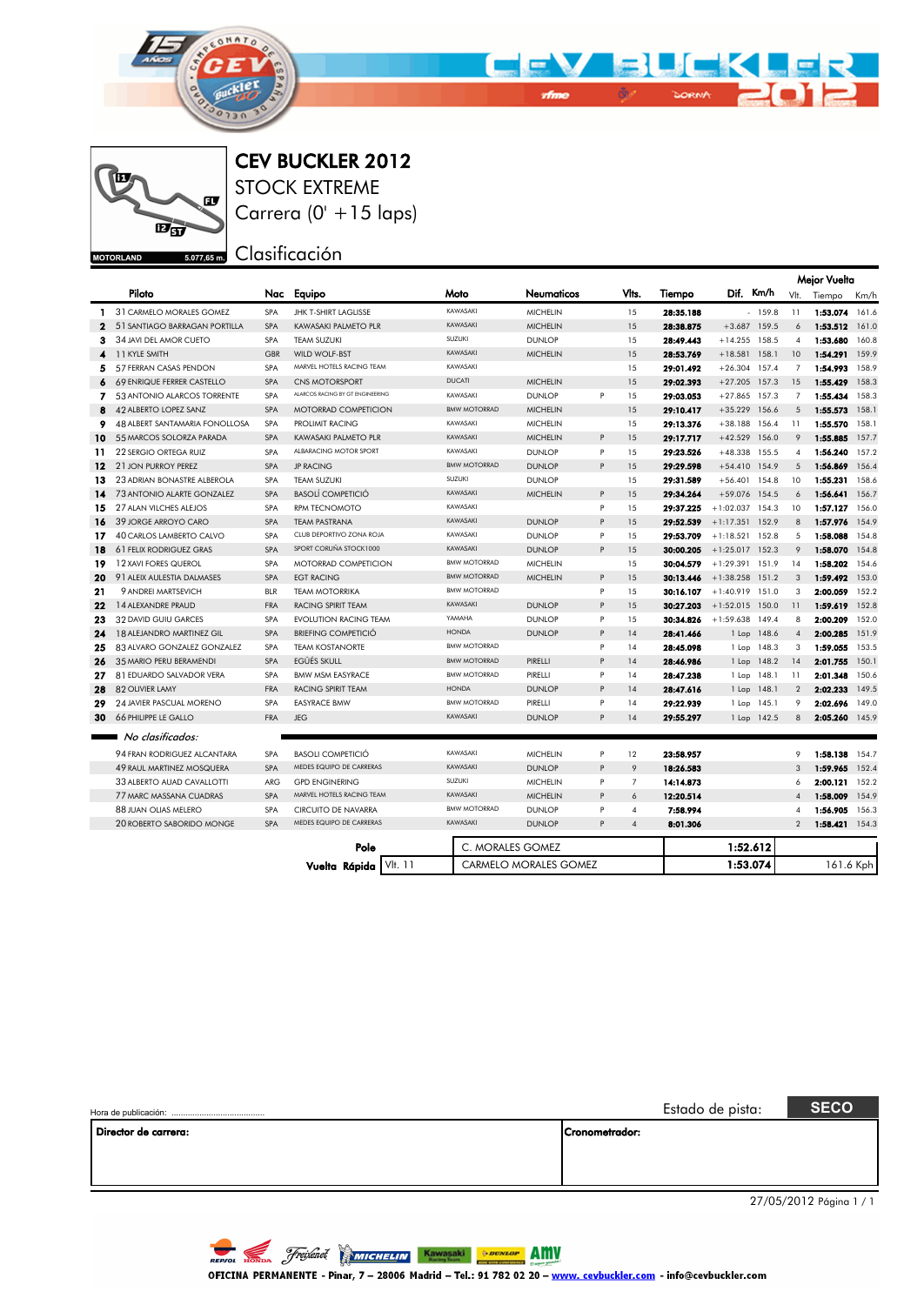



CEV BUCKLER 2012

STOCK EXTREME Carrera (0' +15 laps)

Clasificación

|              |                                |            |                                  |                     |                              |   |                |           |                   |                 |                | <b>Mejor Vuelta</b> |       |
|--------------|--------------------------------|------------|----------------------------------|---------------------|------------------------------|---|----------------|-----------|-------------------|-----------------|----------------|---------------------|-------|
|              | Piloto                         | Nac        | Equipo                           | Moto                | Neumaticos                   |   | Vlts.          | Tiempo    |                   | Dif. Km/h       |                | Vlt. Tiempo         | Km/h  |
|              | 1 31 CARMELO MORALES GOMEZ     | <b>SPA</b> | <b>JHK T-SHIRT LAGLISSE</b>      | KAWASAKI            | <b>MICHELIN</b>              |   | 15             | 28:35.188 |                   | $-159.8$        | 11             | 1:53.074            | 161.6 |
| $\mathbf{z}$ | 51 SANTIAGO BARRAGAN PORTILLA  | <b>SPA</b> | KAWASAKI PALMETO PLR             | KAWASAKI            | <b>MICHELIN</b>              |   | 15             | 28:38.875 |                   | $+3.687$ 159.5  | 6              | 1:53.512            | 161.0 |
| з.           | 34 JAVI DEL AMOR CUETO         | SPA        | TEAM SUZUKI                      | SUZUKI              | <b>DUNLOP</b>                |   | 15             | 28:49.443 | $+14.255$ 158.5   |                 | $\overline{4}$ | 1:53.680            | 160.8 |
| 4            | 11 KYLE SMITH                  | GBR        | WILD WOLF-BST                    | KAWASAKI            | <b>MICHELIN</b>              |   | 15             | 28:53.769 | $+18.581$ 158.1   |                 | 10             | 1:54.291            | 159.9 |
| 5.           | 57 FERRAN CASAS PENDON         | <b>SPA</b> | MARVEL HOTELS RACING TEAM        | KAWASAKI            |                              |   | 15             | 29:01.492 | $+26.304$ 157.4   |                 | $\overline{7}$ | 1:54.993            | 158.9 |
| 6            | 69 ENRIQUE FERRER CASTELLO     | <b>SPA</b> | CNS MOTORSPORT                   | <b>DUCATI</b>       | <b>MICHELIN</b>              |   | 15             | 29:02.393 | $+27.205$ 157.3   |                 | 15             | 1:55.429            | 158.3 |
| 7            | 53 ANTONIO ALARCOS TORRENTE    | <b>SPA</b> | ALARCOS RACING BY GT ENGINEERING | KAWASAKI            | <b>DUNLOP</b>                | P | 15             | 29:03.053 | $+27.865$         | 157.3           | $\overline{7}$ | 1:55.434            | 158.3 |
| 8            | 42 ALBERTO LOPEZ SANZ          | <b>SPA</b> | <b>MOTORRAD COMPETICION</b>      | <b>BMW MOTORRAD</b> | <b>MICHELIN</b>              |   | 15             | 29:10.417 | $+35.229$         | 156.6           | 5              | 1:55.573            | 158.1 |
| 9            | 48 ALBERT SANTAMARIA FONOLLOSA | <b>SPA</b> | <b>PROLIMIT RACING</b>           | KAWASAKI            | <b>MICHELIN</b>              |   | 15             | 29:13.376 |                   | $+38.188$ 156.4 | 11             | 1:55.570            | 158.1 |
| 10           | 55 MARCOS SOLORZA PARADA       | <b>SPA</b> | KAWASAKI PALMETO PLR             | KAWASAKI            | <b>MICHELIN</b>              | P | 15             | 29:17.717 | $+42.529$         | 156.0           | 9              | 1:55.885            | 157.7 |
| 11           | 22 SERGIO ORTEGA RUIZ          | SPA        | ALBARACING MOTOR SPORT           | KAWASAKI            | <b>DUNLOP</b>                | P | 15             | 29:23.526 | $+48.338$ 155.5   |                 | $\overline{4}$ | 1:56.240            | 157.2 |
| 12           | 21 JON PURROY PEREZ            | <b>SPA</b> | <b>JP RACING</b>                 | <b>BMW MOTORRAD</b> | <b>DUNLOP</b>                | P | 15             | 29:29.598 | $+54.410$ 154.9   |                 | 5              | 1:56.869            | 156.4 |
| 13           | 23 ADRIAN BONASTRE ALBEROLA    | <b>SPA</b> | TEAM SUZUKI                      | SUZUKI              | <b>DUNLOP</b>                |   | 15             | 29:31.589 | $+56.401$ 154.8   |                 | 10             | 1:55.231            | 158.6 |
| 14           | 73 ANTONIO ALARTE GONZALEZ     | SPA        | <b>BASOLÍ COMPETICIÓ</b>         | KAWASAKI            | <b>MICHELIN</b>              | P | 15             | 29:34.264 | +59.076 154.5     |                 | 6              | 1:56.641            | 156.7 |
| 15           | 27 ALAN VILCHES ALEJOS         | <b>SPA</b> | <b>RPM TECNOMOTO</b>             | KAWASAKI            |                              | P | 15             | 29:37.225 | $+1:02.037$       | 154.3           | 10             | 1:57.127            | 156.0 |
| 16           | 39 JORGE ARROYO CARO           | SPA        | <b>TEAM PASTRANA</b>             | KAWASAKI            | <b>DUNLOP</b>                | P | 15             | 29:52.539 | $+1:17.351$ 152.9 |                 | 8              | 1:57.976            | 154.9 |
| 17           | 40 CARLOS LAMBERTO CALVO       | <b>SPA</b> | CLUB DEPORTIVO ZONA ROJA         | KAWASAKI            | <b>DUNLOP</b>                | P | 15             | 29:53.709 | $+1:18.521$ 152.8 |                 | 5              | 1:58.088            | 154.8 |
| 18           | <b>61 FELIX RODRIGUEZ GRAS</b> | <b>SPA</b> | SPORT CORUÑA STOCK1000           | KAWASAKI            | <b>DUNLOP</b>                | P | 1.5            | 30:00.205 | $+1:25.017$ 152.3 |                 | 9              | 1:58.070            | 154.8 |
| 19           | 12 XAVI FORES QUEROL           | <b>SPA</b> | <b>MOTORRAD COMPETICION</b>      | <b>BMW MOTORRAD</b> | <b>MICHELIN</b>              |   | 15             | 30:04.579 | $+1:29.391$       | 151.9           | 14             | 1:58.202            | 154.6 |
| 20           | 91 ALEIX AULESTIA DALMASES     | <b>SPA</b> | <b>EGT RACING</b>                | <b>BMW MOTORRAD</b> | <b>MICHELIN</b>              | P | 15             | 30:13.446 | $+1:38.258$       | 151.2           | 3              | 1:59.492            | 153.0 |
| 21           | 9 ANDREI MARTSEVICH            | <b>BLR</b> | <b>TEAM MOTORRIKA</b>            | <b>BMW MOTORRAD</b> |                              | P | 15             | 30:16.107 | $+1:40.919$ 151.0 |                 | 3              | 2:00.059            | 152.2 |
| 22           | 14 ALEXANDRE PRAUD             | FRA        | RACING SPIRIT TEAM               | KAWASAKI            | <b>DUNLOP</b>                | P | 15             | 30:27.203 | $+1:52.015$       | 150.0           | 11             | 1:59.619            | 152.8 |
| 23           | 32 DAVID GUIU GARCES           | <b>SPA</b> | <b>EVOLUTION RACING TEAM</b>     | YAMAHA              | <b>DUNLOP</b>                | P | 15             | 30:34.826 | $+1:59.638$       | 149.4           | 8              | 2:00.209            | 152.0 |
| 24           | 18 ALEJANDRO MARTINEZ GIL      | SPA        | <b>BRIEFING COMPETICIÓ</b>       | <b>HONDA</b>        | <b>DUNLOP</b>                | P | 14             | 28:41.466 |                   | 1 Lap 148.6     | $\overline{4}$ | 2:00.285            | 151.9 |
| 25           | 83 ALVARO GONZALEZ GONZALEZ    | SPA        | <b>TEAM KOSTANORTE</b>           | <b>BMW MOTORRAD</b> |                              | P | 14             | 28:45.098 |                   | 1 Lap 148.3     | 3              | 1:59.055            | 153.5 |
| 26           | 35 MARIO PERU BERAMENDI        | <b>SPA</b> | EGÜÉS SKULL                      | <b>BMW MOTORRAD</b> | PIRELLI                      | P | 14             | 28:46.986 |                   | 1 Lap 148.2     | 14             | 2:01.755            | 150.1 |
| 27           | 81 EDUARDO SALVADOR VERA       | <b>SPA</b> | <b>BMW MSM EASYRACE</b>          | <b>BMW MOTORRAD</b> | PIRELLI                      | P | 14             | 28:47.238 |                   | 1 Lap 148.1     | 11             | 2:01.348            | 150.6 |
| 28           | 82 OLIVIER LAMY                | <b>FRA</b> | <b>RACING SPIRIT TEAM</b>        | <b>HONDA</b>        | <b>DUNLOP</b>                | P | 14             | 28:47.616 |                   | 1 Lap 148.1     | $\overline{2}$ | 2:02.233            | 149.5 |
| 29           | 24 JAVIER PASCUAL MORENO       | <b>SPA</b> | <b>EASYRACE BMW</b>              | <b>BMW MOTORRAD</b> | PIRELLI                      | P | 14             | 29:22.939 |                   | 1 Lap 145.1     | 9              | 2:02.696            | 149.0 |
| 30           | <b>66 PHILIPPE LE GALLO</b>    | <b>FRA</b> | <b>JEG</b>                       | KAWASAKI            | <b>DUNLOP</b>                | P | 14             | 29:55.297 |                   | 1 Lap 142.5     | 8              | 2:05.260            | 145.9 |
|              | No clasificados:               |            |                                  |                     |                              |   |                |           |                   |                 |                |                     |       |
|              | 94 FRAN RODRIGUEZ ALCANTARA    | <b>SPA</b> | <b>BASOLI COMPETICIÓ</b>         | KAWASAKI            | <b>MICHELIN</b>              | P | 12             | 23:58.957 |                   |                 | 9              | 1:58.138            | 154.7 |
|              | 49 RAUL MARTINEZ MOSQUERA      | <b>SPA</b> | MEDES EQUIPO DE CARRERAS         | KAWASAKI            | <b>DUNLOP</b>                | P | 9              | 18:26.583 |                   |                 | 3              | 1:59.965            | 152.4 |
|              | 33 ALBERTO AUAD CAVALLOTTI     | ARG        | <b>GPD ENGINERING</b>            | SUZUKI              | <b>MICHELIN</b>              | P | $\overline{7}$ | 14:14.873 |                   |                 | 6              | 2:00.121            | 152.2 |
|              | 77 MARC MASSANA CUADRAS        | SPA        | MARVEL HOTELS RACING TEAM        | KAWASAKI            | <b>MICHELIN</b>              | P | 6              | 12:20.514 |                   |                 | $\overline{4}$ | 1:58.009            | 154.9 |
|              | 88 JUAN OLIAS MELERO           | SPA        | CIRCUITO DE NAVARRA              | <b>BMW MOTORRAD</b> | <b>DUNLOP</b>                | P | $\overline{4}$ | 7:58.994  |                   |                 | 4              | 1:56.905            | 156.3 |
|              | 20 ROBERTO SABORIDO MONGE      | SPA        | MEDES EQUIPO DE CARRERAS         | KAWASAKI            | <b>DUNLOP</b>                | P | $\overline{4}$ | 8:01.306  |                   |                 | $\overline{2}$ | 1:58.421            | 154.3 |
|              |                                |            | Pole                             | C. MORALES GOMEZ    |                              |   |                |           |                   | 1:52.612        |                |                     |       |
|              |                                |            | VII. 11<br>Vuelta Rápida         |                     | <b>CARMELO MORALES GOMEZ</b> |   |                |           |                   | 1:53.074        |                | 161.6 Kph           |       |

|                      |                | Estado de pista: | <b>SECO</b>                                                                                                                                                                                                                                                                                                                                                                                                             |
|----------------------|----------------|------------------|-------------------------------------------------------------------------------------------------------------------------------------------------------------------------------------------------------------------------------------------------------------------------------------------------------------------------------------------------------------------------------------------------------------------------|
| Director de carrera: | Cronometrador: |                  |                                                                                                                                                                                                                                                                                                                                                                                                                         |
|                      |                |                  | $\mathbf{a} = \mathbf{a} \mathbf{a} + \mathbf{a} \mathbf{a} \mathbf{a} + \mathbf{a} \mathbf{a} + \mathbf{a} \mathbf{a} \mathbf{a} + \mathbf{a} \mathbf{a} \mathbf{a} \mathbf{a} + \mathbf{a} \mathbf{a} \mathbf{a} \mathbf{a} \mathbf{a} \mathbf{a} \mathbf{a} \mathbf{a} \mathbf{a} \mathbf{a} \mathbf{a} \mathbf{a} \mathbf{a} \mathbf{a} \mathbf{a} \mathbf{a} \mathbf{a} \mathbf{a} \mathbf{a} \mathbf{a} \mathbf{$ |



**DER** 

**BUCK** 

**The Contract of the Contract of the Contract of the Contract of The Contract of The Contract of The Contract of The Contract of The Contract of The Contract of The Contract of The Contract of The Contract of The Contract** 

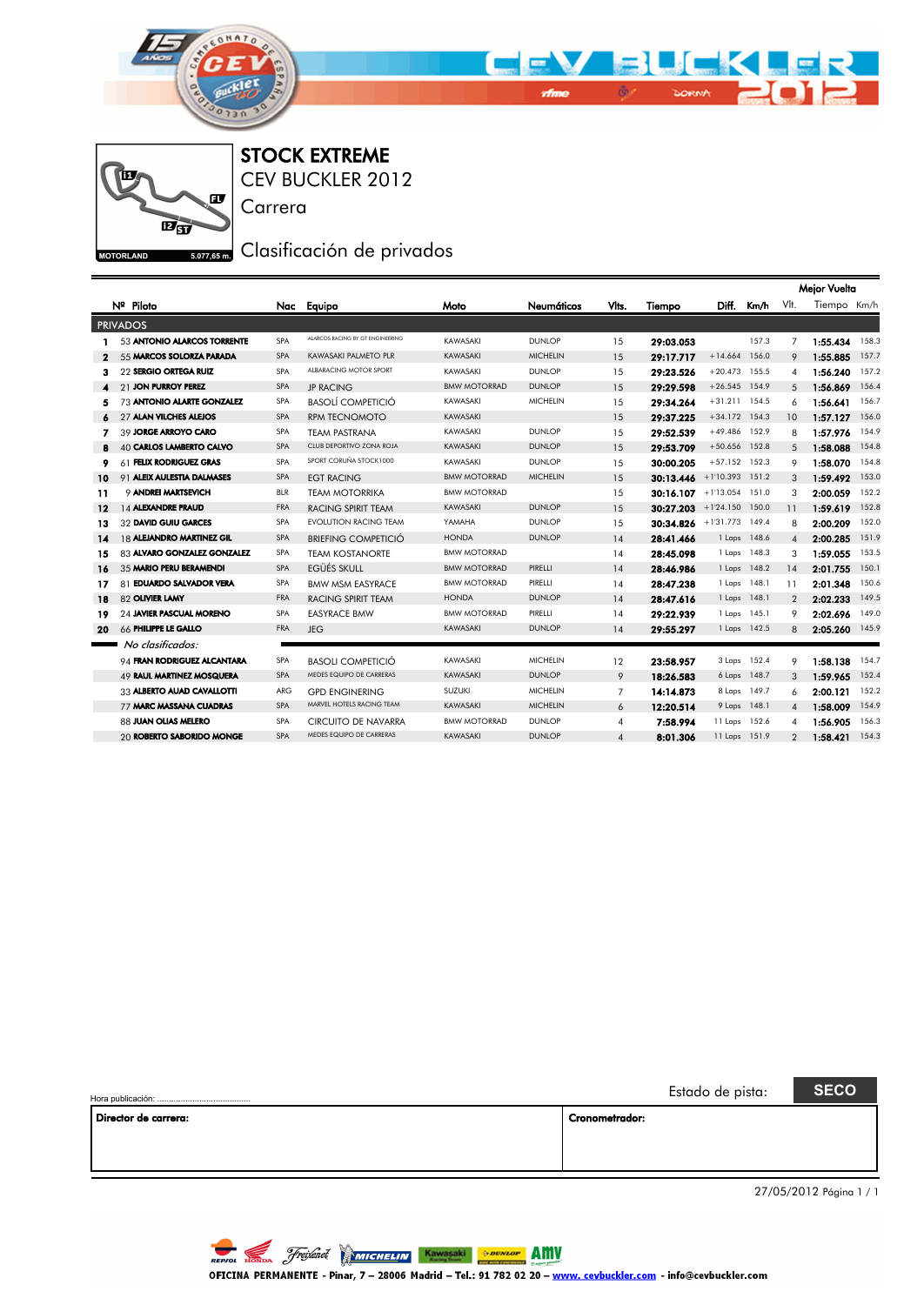



STOCK EXTREME

Carrera

CEV BUCKLER 2012

## 5.077,65m, Clasificación de privados

|              |                                 |            |                                  |                     |                 |                |           |               |              |                | Mejor Vuelta |       |
|--------------|---------------------------------|------------|----------------------------------|---------------------|-----------------|----------------|-----------|---------------|--------------|----------------|--------------|-------|
|              | Nº Piloto                       | Nac        | Equipo                           | Moto                | Neumáticos      | Vlts.          | Tiempo    | Diff.         | Km/h         | VIt.           | Tiempo Km/h  |       |
|              | <b>PRIVADOS</b>                 |            |                                  |                     |                 |                |           |               |              |                |              |       |
|              | 53 ANTONIO ALARCOS TORRENTE     | <b>SPA</b> | ALARCOS RACING BY GT ENGINEERING | KAWASAKI            | <b>DUNLOP</b>   | 15             | 29:03.053 |               | 157.3        | $\overline{7}$ | 1:55.434     | 158.3 |
| $\mathbf{2}$ | 55 MARCOS SOLORZA PARADA        | <b>SPA</b> | <b>KAWASAKI PALMETO PLR</b>      | KAWASAKI            | <b>MICHELIN</b> | 15             | 29:17.717 | $+14.664$     | 156.0        | 9              | 1:55.885     | 157.7 |
| з            | 22 SERGIO ORTEGA RUIZ           | SPA        | ALBARACING MOTOR SPORT           | KAWASAKI            | <b>DUNLOP</b>   | 15             | 29:23.526 | $+20.473$     | 155.5        | 4              | 1:56.240     | 157.2 |
|              | 21 JON PURROY PEREZ             | SPA        | <b>JP RACING</b>                 | <b>BMW MOTORRAD</b> | <b>DUNLOP</b>   | 15             | 29:29.598 | $+26.545$     | 154.9        | 5              | 1:56.869     | 156.4 |
| 5            | 73 ANTONIO ALARTE GONZALEZ      | SPA        | <b>BASOLÍ COMPETICIÓ</b>         | KAWASAKI            | <b>MICHELIN</b> | 15             | 29:34.264 | $+31.211$     | 154.5        | 6              | 1:56.641     | 156.7 |
|              | <b>97 ALAN VILCHES ALEJOS</b>   | SPA        | <b>RPM TECNOMOTO</b>             | KAWASAKI            |                 | 15             | 29:37.225 | $+34.172$     | 154.3        | 10             | 1:57.127     | 156.0 |
| 7            | 39 JORGE ARROYO CARO            | SPA        | <b>TEAM PASTRANA</b>             | KAWASAKI            | <b>DUNLOP</b>   | 15             | 29:52.539 | $+49.486$     | 152.9        | 8              | 1:57.976     | 154.9 |
| 8            | 40 CARLOS LAMBERTO CALVO        | SPA        | CLUB DEPORTIVO ZONA ROJA         | KAWASAKI            | <b>DUNLOP</b>   | 15             | 29:53.709 | $+50.656$     | 152.8        | 5              | 1:58.088     | 154.8 |
| 9            | 61 FELIX RODRIGUEZ GRAS         | SPA        | SPORT CORUÑA STOCK1000           | KAWASAKI            | <b>DUNLOP</b>   | 15             | 30:00.205 | $+57.152$     | 152.3        | 9              | 1:58.070     | 154.8 |
| 10           | 91 ALEIX AULESTIA DALMASES      | <b>SPA</b> | <b>EGT RACING</b>                | <b>BMW MOTORRAD</b> | <b>MICHELIN</b> | 15             | 30:13.446 | $+1'10.393$   | 151.2        | 3              | 1:59.492     | 153.0 |
| 11           | <b>O ANDREI MARTSEVICH</b>      | BLR        | <b>TEAM MOTORRIKA</b>            | <b>BMW MOTORRAD</b> |                 | 15             | 30:16.107 | $+1'13.054$   | 151.0        | 3              | 2:00.059     | 152.2 |
| $12 \,$      | 14 ALEXANDRE PRAUD              | FRA        | <b>RACING SPIRIT TEAM</b>        | KAWASAKI            | <b>DUNLOP</b>   | 15             | 30:27.203 | $+1'24.150$   | 150.0        | 11             | 1:59.619     | 152.8 |
| 13           | 32 DAVID GUIU GARCES            | SPA        | <b>EVOLUTION RACING TEAM</b>     | YAMAHA              | <b>DUNLOP</b>   | 15             | 30:34.826 | $+1'31.773$   | 149.4        | 8              | 2:00.209     | 152.0 |
| 14           | 18 ALEJANDRO MARTINEZ GIL       | SPA        | <b>BRIEFING COMPETICIÓ</b>       | <b>HONDA</b>        | <b>DUNLOP</b>   | 14             | 28:41.466 |               | 1 Laps 148.6 | $\overline{4}$ | 2:00.285     | 151.9 |
| 15           | 83 ALVARO GONZALEZ GONZALEZ     | SPA        | <b>TEAM KOSTANORTE</b>           | <b>BMW MOTORRAD</b> |                 | 14             | 28:45.098 |               | 1 Laps 148.3 | 3              | 1:59.055     | 153.5 |
| 16           | 35 MARIO PERU BERAMENDI         | SPA        | EGÜÉS SKULL                      | <b>BMW MOTORRAD</b> | PIRELLI         | 14             | 28:46.986 | 1 Laps        | 148.2        | 14             | 2:01.755     | 150.1 |
| 17           | 81 EDUARDO SALVADOR VERA        | SPA        | <b>BMW MSM EASYRACE</b>          | <b>BMW MOTORRAD</b> | PIRELLI         | 14             | 28:47.238 | 1 Laps        | 148.1        | 11             | 2:01.348     | 150.6 |
| 18           | 82 OLIVIER LAMY                 | <b>FRA</b> | <b>RACING SPIRIT TEAM</b>        | <b>HONDA</b>        | <b>DUNLOP</b>   | 14             | 28:47.616 | 1 Laps        | 148.1        | $\overline{2}$ | 2:02.233     | 149.5 |
| 19           | <b>24 JAVIER PASCUAL MORENO</b> | SPA        | <b>EASYRACE BMW</b>              | <b>BMW MOTORRAD</b> | PIRELLI         | 14             | 29:22.939 | 1 Laps        | 145.1        | 9              | 2:02.696     | 149.0 |
| 20           | 66 PHILIPPE LE GALLO            | FRA        | <b>JEG</b>                       | KAWASAKI            | <b>DUNLOP</b>   | 14             | 29:55.297 |               | 1 Laps 142.5 | 8              | 2:05.260     | 145.9 |
|              | No clasificados:                |            |                                  |                     |                 |                |           |               |              |                |              |       |
|              | 94 FRAN RODRIGUEZ ALCANTARA     | SPA        | <b>BASOLI COMPETICIÓ</b>         | KAWASAKI            | <b>MICHELIN</b> | 12             | 23:58.957 |               | 3 Laps 152.4 | 9              | 1:58.138     | 154.7 |
|              | 49 RAUL MARTINEZ MOSQUERA       | <b>SPA</b> | MEDES EQUIPO DE CARRERAS         | KAWASAKI            | <b>DUNLOP</b>   | 9              | 18:26.583 |               | 6 Laps 148.7 | 3              | 1:59.965     | 152.4 |
|              | 33 ALBERTO AUAD CAVALLOTTI      | ARG        | <b>GPD ENGINERING</b>            | <b>SUZUKI</b>       | <b>MICHELIN</b> | 7              | 14:14.873 | 8 Laps        | 149.7        | 6              | 2:00.121     | 152.2 |
|              | 77 MARC MASSANA CUADRAS         | <b>SPA</b> | MARVEL HOTELS RACING TEAM        | KAWASAKI            | <b>MICHELIN</b> | 6              | 12:20.514 |               | 9 Laps 148.1 | $\overline{4}$ | 1:58.009     | 154.9 |
|              | 88 JUAN OLIAS MELERO            | SPA        | CIRCUITO DE NAVARRA              | <b>BMW MOTORRAD</b> | <b>DUNLOP</b>   | 4              | 7:58.994  | 11 Laps       | 152.6        | $\overline{4}$ | 1:56.905     | 156.3 |
|              | 20 ROBERTO SABORIDO MONGE       | <b>SPA</b> | MEDES EQUIPO DE CARRERAS         | KAWASAKI            | <b>DUNLOP</b>   | $\overline{4}$ | 8:01.306  | 11 Laps 151.9 |              | $\overline{2}$ | 1:58.421     | 154.3 |
|              |                                 |            |                                  |                     |                 |                |           |               |              |                |              |       |

|                      | Estado de pista: | <b>SECO</b> |  |
|----------------------|------------------|-------------|--|
| Director de carrera: | Cronometrador:   |             |  |
|                      |                  |             |  |
|                      |                  |             |  |
|                      |                  |             |  |

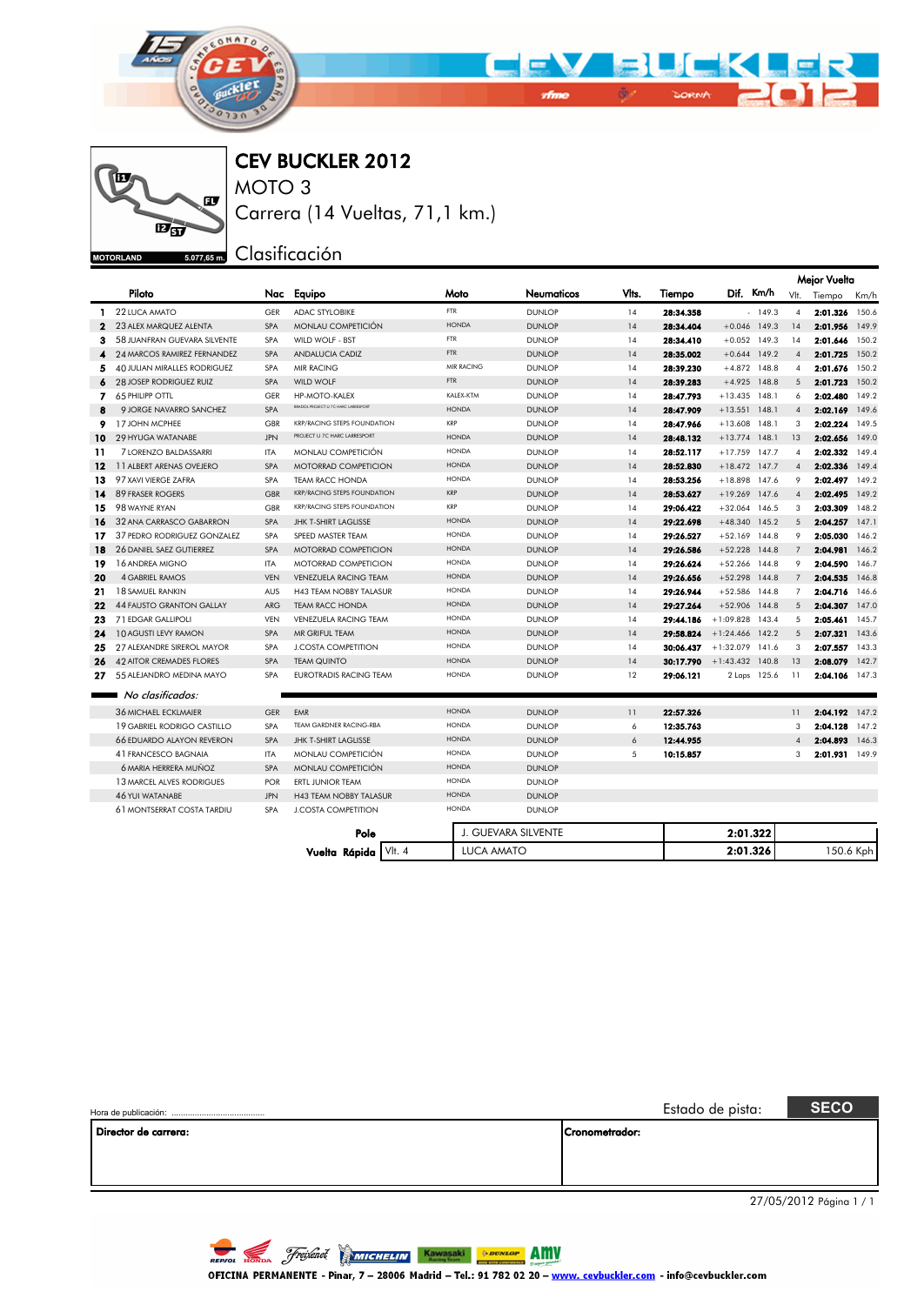



CEV BUCKLER 2012

MOTO 3 Carrera (14 Vueltas, 71,1 km.)

5.077,65m Clasificación

|              |                                    |            |                                     |                   |                     |       |           |                   |              |                | <b>Mejor Vuelta</b> |       |
|--------------|------------------------------------|------------|-------------------------------------|-------------------|---------------------|-------|-----------|-------------------|--------------|----------------|---------------------|-------|
|              | Piloto                             |            | Nac Equipo                          | Moto              | Neumaticos          | Vlis. | Tiempo    | Dif. Km/h         |              |                | Vlt. Tiempo         | Km/h  |
| 1.           | 22 LUCA AMATO                      | GFR        | <b>ADAC STYLOBIKE</b>               | <b>FTR</b>        | <b>DUNLOP</b>       | 14    | 28:34.358 |                   | $-149.3$     | $\overline{4}$ | 2:01.326            | 150.6 |
| $\mathbf{2}$ | 23 ALEX MARQUEZ ALENTA             | <b>SPA</b> | MONLAU COMPETICIÓN                  | <b>HONDA</b>      | <b>DUNLOP</b>       | 14    | 28:34.404 | $+0.046$ 149.3    |              | 14             | 2:01.956            | 149.9 |
| з            | 58 JUANFRAN GUEVARA SILVENTE       | <b>SPA</b> | WILD WOLF - BST                     | FTR               | <b>DUNLOP</b>       | 14    | 28:34.410 | $+0.052$ 149.3    |              | 14             | 2:01.646            | 150.2 |
|              | <b>24 MARCOS RAMIREZ FERNANDEZ</b> | <b>SPA</b> | <b>ANDALUCIA CADIZ</b>              | <b>FTR</b>        | <b>DUNLOP</b>       | 14    | 28:35.002 | $+0.644$ 149.2    |              | $\overline{4}$ | 2:01.725            | 150.2 |
| 5            | 40 JULIAN MIRALLES RODRIGUEZ       | <b>SPA</b> | <b>MIR RACING</b>                   | <b>MIR RACING</b> | <b>DUNLOP</b>       | 14    | 28:39.230 | $+4.872$ 148.8    |              | $\overline{4}$ | 2:01.676            | 150.2 |
| 6            | <b>28 JOSEP RODRIGUEZ RUIZ</b>     | <b>SPA</b> | WILD WOLF                           | FTR.              | <b>DUNLOP</b>       | 14    | 28:39.283 | $+4.925$ 148.8    |              | 5              | 2:01.723            | 150.2 |
| 7.           | <b>65 PHILIPP OTTL</b>             | GER        | <b>HP-MOTO-KALEX</b>                | KALEX-KTM         | <b>DUNLOP</b>       | 14    | 28:47.793 | $+13.435$         | 148.1        | 6              | 2:02.480            | 149.2 |
| 8            | 9 JORGE NAVARRO SANCHEZ            | <b>SPA</b> | BRADOL PROJECT U 7C HARC LARRESPORT | <b>HONDA</b>      | <b>DUNLOP</b>       | 14    | 28:47.909 | $+13.551$         | 148.1        | $\overline{4}$ | 2:02.169            | 149.6 |
| 9            | <b>17 JOHN MCPHEE</b>              | GBR        | <b>KRP/RACING STEPS FOUNDATION</b>  | KRP               | <b>DUNLOP</b>       | 14    | 28:47.966 | $+13.608$         | 148.1        | 3              | 2:02.224            | 149.5 |
| 10           | 29 HYUGA WATANABE                  | <b>JPN</b> | PROJECT U 7C HARC LARRESPORT        | <b>HONDA</b>      | <b>DUNLOP</b>       | 14    | 28:48.132 | $+13.774$         | 148.1        | 13             | 2:02.656            | 149.0 |
| 11           | 7 LORENZO BALDASSARRI              | ITA        | MONLAU COMPETICIÓN                  | <b>HONDA</b>      | <b>DUNLOP</b>       | 14    | 28:52.117 | $+17.759$ 147.7   |              | 4              | 2:02.332            | 149.4 |
| 12           | 11 ALBERT ARENAS OVEJERO           | <b>SPA</b> | MOTORRAD COMPETICION                | <b>HONDA</b>      | <b>DUNLOP</b>       | 14    | 28:52.830 | $+18.472$ 147.7   |              | $\overline{4}$ | 2:02.336            | 149.4 |
| 13           | 97 XAVI VIERGE ZAFRA               | SPA        | <b>TEAM RACC HONDA</b>              | <b>HONDA</b>      | <b>DUNLOP</b>       | 14    | 28:53.256 | +18.898 147.6     |              | 9              | 2:02.497            | 149.2 |
| 14           | <b>89 FRASER ROGERS</b>            | GBR        | <b>KRP/RACING STEPS FOUNDATION</b>  | <b>KRP</b>        | <b>DUNLOP</b>       | 14    | 28:53.627 | $+19.269$         | 147.6        | $\overline{4}$ | 2:02.495            | 149.2 |
| 15           | 98 WAYNE RYAN                      | GBR        | <b>KRP/RACING STEPS FOUNDATION</b>  | <b>KRP</b>        | <b>DUNLOP</b>       | 14    | 29:06.422 | $+32.064$ 146.5   |              | 3              | 2:03.309            | 148.2 |
| 16           | 32 ANA CARRASCO GABARRON           | <b>SPA</b> | <b>JHK T-SHIRT LAGLISSE</b>         | <b>HONDA</b>      | <b>DUNLOP</b>       | 14    | 29:22.698 | $+48.340$ 145.2   |              | 5              | 2:04.257            | 147.1 |
| 17           | 37 PEDRO RODRIGUEZ GONZALEZ        | SPA        | SPEED MASTER TEAM                   | <b>HONDA</b>      | <b>DUNLOP</b>       | 14    | 29:26.527 | $+52.169$ 144.8   |              | 9              | 2:05.030            | 146.2 |
| 18           | <b>26 DANIEL SAEZ GUTIERREZ</b>    | SPA        | <b>MOTORRAD COMPETICION</b>         | <b>HONDA</b>      | <b>DUNLOP</b>       | 14    | 29:26.586 | $+52.228$         | 144.8        | $\overline{7}$ | 2:04.981            | 146.2 |
| 19           | 16 ANDREA MIGNO                    | <b>ITA</b> | <b>MOTORRAD COMPETICION</b>         | <b>HONDA</b>      | <b>DUNLOP</b>       | 14    | 29:26.624 | $+52.266$         | 144.8        | 9              | 2:04.590            | 146.7 |
| 20           | <b>4 GABRIEL RAMOS</b>             | <b>VEN</b> | VENEZUELA RACING TEAM               | <b>HONDA</b>      | <b>DUNLOP</b>       | 14    | 29:26.656 | $+52.298$ 144.8   |              | $\overline{7}$ | 2:04.535            | 146.8 |
| 21           | <b>18 SAMUEL RANKIN</b>            | AUS        | <b>H43 TEAM NOBBY TALASUR</b>       | <b>HONDA</b>      | <b>DUNLOP</b>       | 14    | 29:26.944 | $+52.586$ 144.8   |              | $\overline{7}$ | 2:04.716            | 146.6 |
| 22           | <b>44 FAUSTO GRANTON GALLAY</b>    | <b>ARG</b> | <b>TEAM RACC HONDA</b>              | <b>HONDA</b>      | <b>DUNLOP</b>       | 14    | 29:27.264 | $+52.906$ 144.8   |              | $\overline{5}$ | 2:04.307            | 147.0 |
| 23           | 71 EDGAR GALLIPOLI                 | <b>VEN</b> | <b>VENEZUELA RACING TEAM</b>        | <b>HONDA</b>      | <b>DUNLOP</b>       | 14    | 29:44.186 | $+1:09.828$       | 143.4        | 5              | 2:05.461            | 145.7 |
| 24           | <b>10 AGUSTI LEVY RAMON</b>        | <b>SPA</b> | MR GRIFUL TEAM                      | <b>HONDA</b>      | <b>DUNLOP</b>       | 14    | 29:58.824 | $+1:24.466$ 142.2 |              | 5              | 2:07.321            | 143.6 |
| 25           | 27 ALEXANDRE SIREROL MAYOR         | SPA        | <b>J.COSTA COMPETITION</b>          | <b>HONDA</b>      | <b>DUNLOP</b>       | 14    | 30:06.437 | $+1:32.079$ 141.6 |              | 3              | 2:07.557            | 143.3 |
| 26           | <b>42 AITOR CREMADES FLORES</b>    | <b>SPA</b> | <b>TEAM QUINTO</b>                  | <b>HONDA</b>      | <b>DUNLOP</b>       | 14    | 30:17.790 | $+1:43.432$ 140.8 |              | 13             | 2:08.079            | 142.7 |
| 27           | 55 ALEJANDRO MEDINA MAYO           | <b>SPA</b> | <b>EUROTRADIS RACING TEAM</b>       | <b>HONDA</b>      | <b>DUNLOP</b>       | 12    | 29:06.121 |                   | 2 Laps 125.6 | 11             | 2:04.106            | 147.3 |
|              | No clasificados:                   |            |                                     |                   |                     |       |           |                   |              |                |                     |       |
|              | 36 MICHAEL ECKLMAIER               | <b>GER</b> | EMR                                 | <b>HONDA</b>      | <b>DUNLOP</b>       | 11    | 22:57.326 |                   |              | 11             | 2:04.192            | 147.2 |
|              | <b>19 GABRIEL RODRIGO CASTILLO</b> | <b>SPA</b> | TEAM GARDNER RACING-RBA             | <b>HONDA</b>      | <b>DUNLOP</b>       | 6     | 12:35.763 |                   |              | 3              | 2:04.128            | 147.2 |
|              | <b>66 EDUARDO ALAYON REVERON</b>   | <b>SPA</b> | <b>JHK T-SHIRT LAGLISSE</b>         | <b>HONDA</b>      | <b>DUNLOP</b>       | 6     | 12:44.955 |                   |              | $\overline{4}$ | 2:04.893            | 146.3 |
|              | 41 FRANCESCO BAGNAIA               | ITA        | MONLAU COMPETICIÓN                  | <b>HONDA</b>      | <b>DUNLOP</b>       | 5     | 10:15.857 |                   |              | 3              | 2:01.931            | 149.9 |
|              | 6 MARIA HERRERA MUÑOZ              | SPA        | <b>MONLAU COMPETICIÓN</b>           | <b>HONDA</b>      | <b>DUNLOP</b>       |       |           |                   |              |                |                     |       |
|              | 13 MARCEL ALVES RODRIGUES          | POR        | ERTL JUNIOR TEAM                    | <b>HONDA</b>      | <b>DUNLOP</b>       |       |           |                   |              |                |                     |       |
|              | <b>46 YUI WATANABE</b>             | <b>JPN</b> | H43 TEAM NOBBY TALASUR              | <b>HONDA</b>      | <b>DUNLOP</b>       |       |           |                   |              |                |                     |       |
|              | <b>61 MONTSERRAT COSTA TARDIU</b>  | <b>SPA</b> | <b>J.COSTA COMPETITION</b>          | <b>HONDA</b>      | <b>DUNLOP</b>       |       |           |                   |              |                |                     |       |
|              |                                    |            | Pole                                |                   | J. GUEVARA SILVENTE |       |           | 2:01.322          |              |                |                     |       |
|              |                                    |            | VIt. 4<br>Vuelta Rápida             | LUCA AMATO        |                     |       |           | 2:01.326          |              |                | 150.6 Kph           |       |

BUCKL

**THE V** 

 $\frac{1}{2}$   $\frac{1}{2}$   $\frac{1}{2}$   $\frac{1}{2}$   $\frac{1}{2}$   $\frac{1}{2}$   $\frac{1}{2}$   $\frac{1}{2}$   $\frac{1}{2}$   $\frac{1}{2}$   $\frac{1}{2}$   $\frac{1}{2}$   $\frac{1}{2}$   $\frac{1}{2}$   $\frac{1}{2}$   $\frac{1}{2}$   $\frac{1}{2}$   $\frac{1}{2}$   $\frac{1}{2}$   $\frac{1}{2}$   $\frac{1}{2}$   $\frac{1}{2}$ 

|                      |                | Estado de pista: | <b>SECO</b>             |
|----------------------|----------------|------------------|-------------------------|
| Director de carrera: | Cronometrador: |                  |                         |
|                      |                |                  |                         |
|                      |                |                  |                         |
|                      |                |                  | 27/05/2012 Página 1 / 1 |
|                      |                |                  |                         |

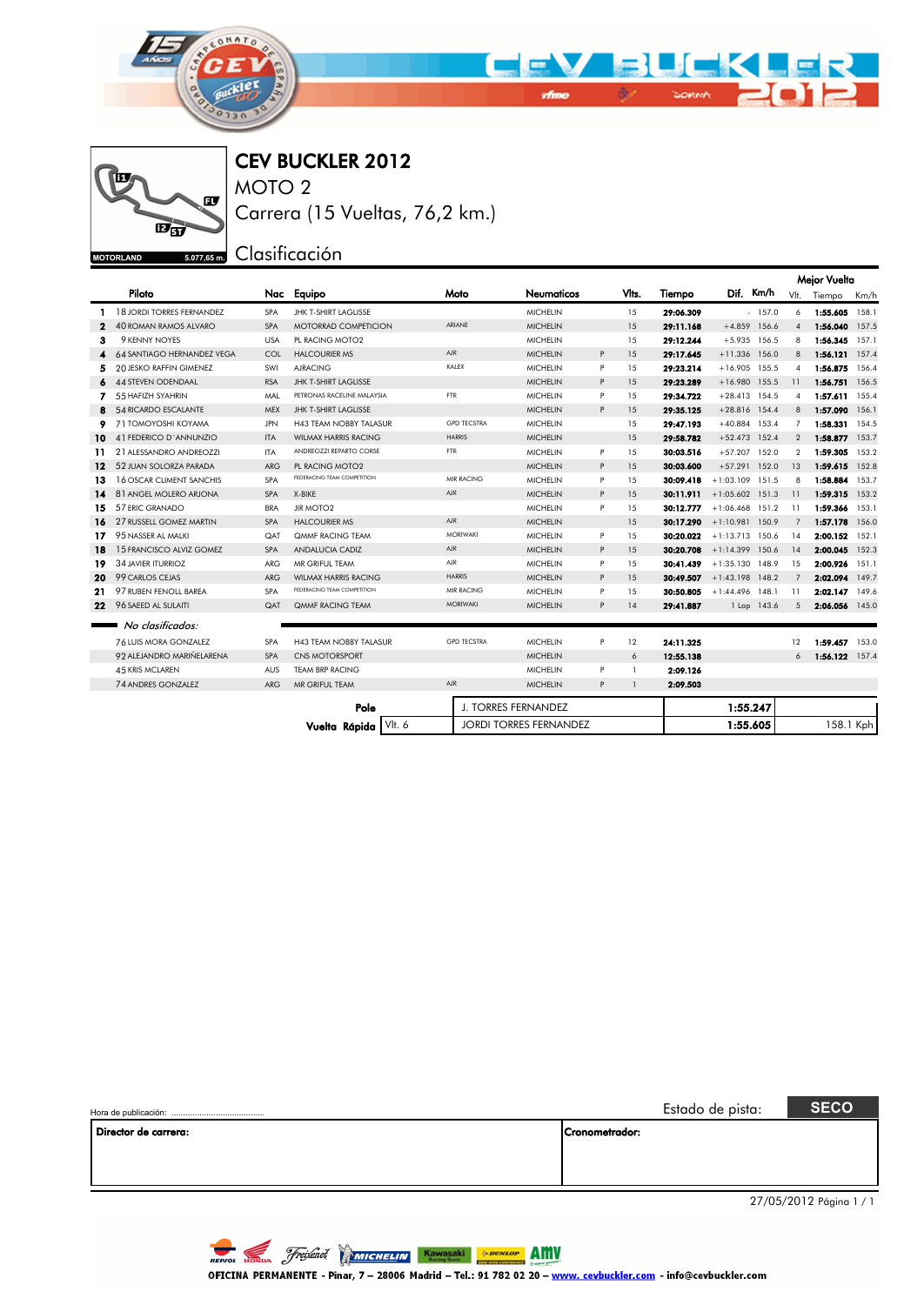



CEV BUCKLER 2012

MOTO 2 Carrera (15 Vueltas, 76,2 km.)

## <sub>5.077,65 m</sub> Clasificación

|     |                                |            |                               |                    |                               |   |              |           |                      |                | Mejor Vuelta   |           |
|-----|--------------------------------|------------|-------------------------------|--------------------|-------------------------------|---|--------------|-----------|----------------------|----------------|----------------|-----------|
|     | Piloto                         | Nac        | Equipo                        | Moto               | Neumaticos                    |   | Vits.        | Tiempo    | Dif. Km/h            | VIt.           | Tiempo         | Km/h      |
|     | 18 JORDI TORRES FERNANDEZ      | <b>SPA</b> | <b>JHK T-SHIRT LAGLISSE</b>   |                    | <b>MICHELIN</b>               |   | 15           | 29:06.309 | $-157.0$             | 6              | 1:55.605       | 158.1     |
| 2   | <b>40 ROMAN RAMOS ALVARO</b>   | <b>SPA</b> | <b>MOTORRAD COMPETICION</b>   | ARIANE             | <b>MICHELIN</b>               |   | 15           | 29:11.168 | $+4.859$ 156.6       | $\overline{4}$ | 1:56.040       | 157.5     |
| з   | 9 KENNY NOYES                  | <b>USA</b> | PL RACING MOTO2               |                    | <b>MICHELIN</b>               |   | 15           | 29:12.244 | $+5.935$ 156.5       | 8              | 1:56.345       | 157.1     |
|     | 64 SANTIAGO HERNANDEZ VEGA     | <b>COL</b> | <b>HALCOURIER MS</b>          | <b>AJR</b>         | <b>MICHELIN</b>               | P | 15           | 29:17.645 | $+11.336$ 156.0      | 8              | 1:56.121 157.4 |           |
| 5.  | <b>20 JESKO RAFFIN GIMENEZ</b> | SWI        | <b>AIRACING</b>               | KALEX              | <b>MICHELIN</b>               | P | 1.5          | 29:23.214 | $+16.905$ 155.5      | $\overline{4}$ | 1:56.875       | 156.4     |
| 6   | <b>44 STEVEN ODENDAAL</b>      | <b>RSA</b> | <b>JHK T-SHIRT LAGLISSE</b>   |                    | <b>MICHELIN</b>               | P | 15           | 29:23.289 | $+16.980$ 155.5      | 11             | 1:56.751       | 156.5     |
|     | 55 HAFIZH SYAHRIN              | MAL        | PETRONAS RACELINE MALAYSIA    | <b>FTR</b>         | <b>MICHELIN</b>               | P | 15           | 29:34.722 | $+28.413$ 154.5      | $\overline{4}$ | 1:57.611 155.4 |           |
|     | 54 RICARDO ESCALANTE           | <b>MEX</b> | JHK T-SHIRT LAGLISSE          |                    | <b>MICHELIN</b>               | P | 15           | 29:35.125 | $+28.816$ 154.4      | 8              | 1:57.090       | 156.1     |
| 9.  | 71 TOMOYOSHI KOYAMA            | <b>JPN</b> | <b>H43 TEAM NOBBY TALASUR</b> | <b>GPD TECSTRA</b> | <b>MICHELIN</b>               |   | 15           | 29:47.193 | $+40.884$ 153.4      | $\overline{7}$ | 1:58.331 154.5 |           |
| 10  | 41 FEDERICO D'ANNUNZIO         | <b>ITA</b> | <b>WILMAX HARRIS RACING</b>   | <b>HARRIS</b>      | <b>MICHELIN</b>               |   | 15           | 29:58.782 | $+52.473$ 152.4      | 2              | 1:58.877 153.7 |           |
| 11. | 21 ALESSANDRO ANDREOZZI        | ITA        | ANDREOZZI REPARTO CORSE       | <b>FTR</b>         | <b>MICHELIN</b>               | P | 15           | 30:03.516 | $+57.207$ 152.0      | $\mathcal{P}$  | 1:59.305       | 153.2     |
| 12  | 52 JUAN SOLORZA PARADA         | <b>ARG</b> | PL RACING MOTO2               |                    | <b>MICHELIN</b>               | P | 15           | 30:03.600 | $+57.291$ 152.0      | 13             | 1:59.615       | 152.8     |
| 13. | 16 OSCAR CLIMENT SANCHIS       | <b>SPA</b> | FEDERACING TEAM COMPETITION   | MIR RACING         | <b>MICHELIN</b>               | P | 15           | 30:09.418 | $+1:03.109$ 151.5    | 8              | 1:58.884       | 153.7     |
| 14. | 81 ANGEL MOLERO ARJONA         | <b>SPA</b> | X-BIKE                        | AJR.               | <b>MICHELIN</b>               | P | 15           | 30:11.911 | $+1:05.602$ 151.3    | 11             | 1:59.315       | 153.2     |
| 15  | 57 ERIC GRANADO                | <b>BRA</b> | <b>JIR MOTO2</b>              |                    | <b>MICHELIN</b>               | P | 15           | 30:12.777 | $+1:06.468$ 151.2    | -11            | 1:59.366       | 153.1     |
| 16. | 27 RUSSELL GOMEZ MARTIN        | <b>SPA</b> | <b>HALCOURIER MS</b>          | <b>AJR</b>         | <b>MICHELIN</b>               |   | 15           | 30:17.290 | $+1:10.981$ 150.9    | $\overline{7}$ | 1:57.178       | 156.0     |
| 17. | 95 NASSER AL MALKI             | QAT        | <b>OMMF RACING TFAM</b>       | <b>MORIWAKI</b>    | <b>MICHELIN</b>               | P | 15           | 30:20.022 | $+1:13.713$ 150.6    | 14             | 2:00.152       | 152.1     |
| 18  | 1.5 FRANCISCO ALVIZ GOMEZ      | <b>SPA</b> | <b>ANDALUCIA CADIZ</b>        | <b>AJR</b>         | <b>MICHELIN</b>               | P | 1.5          | 30:20.708 | $+1:14.399$ 150.6    | 14             | 2:00.045       | 152.3     |
| 19  | <b>34 JAVIER ITURRIOZ</b>      | <b>ARG</b> | MR GRIFUL TEAM                | AJR                | <b>MICHELIN</b>               | P | 15           | 30:41.439 | $+1:35.130$ 148.9    | 15             | 2:00.926       | 151.1     |
| 20. | 99 CARLOS CEJAS                | <b>ARG</b> | <b>WILMAX HARRIS RACING</b>   | <b>HARRIS</b>      | <b>MICHELIN</b>               | P | 15           | 30:49.507 | $+1:43.198$ 148.2    | $\overline{7}$ | 2:02.094       | 149.7     |
| 21  | 97 RUBEN FENOLL BAREA          | <b>SPA</b> | FEDERACING TEAM COMPETITION   | MIR RACING         | <b>MICHELIN</b>               | P | 15           | 30:50.805 | $+1:44.496$<br>148.1 | 11             | 2:02.147       | 149.6     |
| 22  | 96 SAEED AL SULAITI            | QAT        | <b>QMMF RACING TEAM</b>       | <b>MORIWAKI</b>    | <b>MICHELIN</b>               | P | 14           | 29:41.887 | 1 Lap 143.6          | 5              | 2:06.056 145.0 |           |
|     | No clasificados:               |            |                               |                    |                               |   |              |           |                      |                |                |           |
|     | 76 LUIS MORA GONZALEZ          | <b>SPA</b> | <b>H43 TEAM NOBBY TALASUR</b> | <b>GPD TECSTRA</b> | <b>MICHELIN</b>               | P | 12           | 24:11.325 |                      | 12             | 1:59.457 153.0 |           |
|     | 92 ALEJANDRO MARIÑELARENA      | <b>SPA</b> | <b>CNS MOTORSPORT</b>         |                    | <b>MICHELIN</b>               |   | 6            | 12:55.138 |                      | 6              | 1:56.122 157.4 |           |
|     | <b>45 KRIS MCLAREN</b>         | AUS        | <b>TEAM BRP RACING</b>        |                    | <b>MICHELIN</b>               | P | $\mathbf{1}$ | 2:09.126  |                      |                |                |           |
|     | <b>74 ANDRES GONZALEZ</b>      | <b>ARG</b> | MR GRIFUL TEAM                | <b>AJR</b>         | <b>MICHELIN</b>               | P | $\mathbf{1}$ | 2:09.503  |                      |                |                |           |
|     |                                |            | Pole                          |                    | <b>J. TORRES FERNANDEZ</b>    |   |              |           | 1:55.247             |                |                |           |
|     |                                |            | VII. 6<br>Vuelta Rápida       |                    | <b>JORDI TORRES FERNANDEZ</b> |   |              |           | 1:55.605             |                |                | 158.1 Kph |

EVEL CKLFR

|                      |                | <b>SECO</b><br>Estado de pista: |
|----------------------|----------------|---------------------------------|
| Director de carrera: | Cronometrador: |                                 |
|                      |                |                                 |
|                      |                |                                 |
|                      |                | 27/05/2012 Página 1 / 1         |

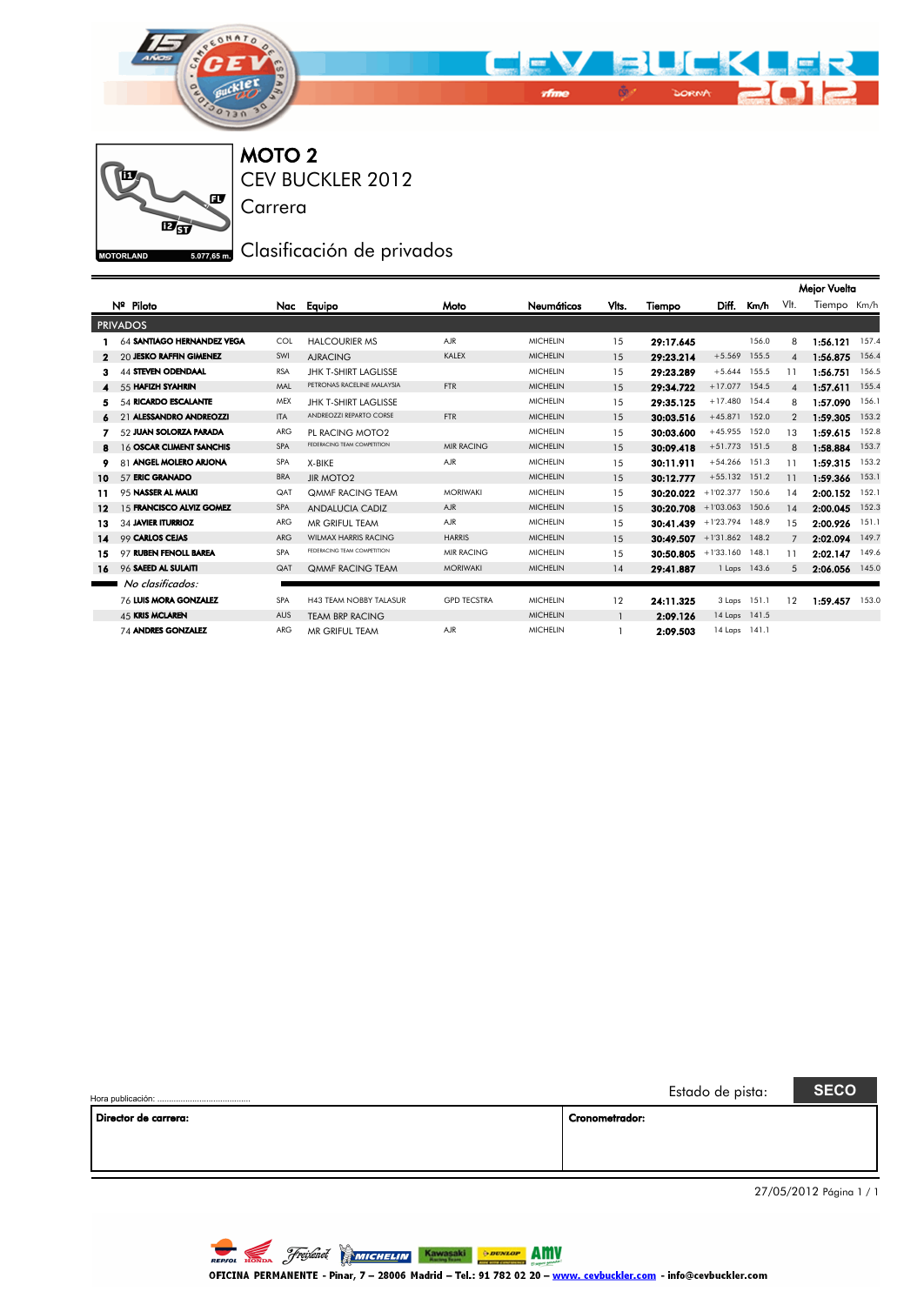



CEV BUCKLER 2012 MOTO 2

Carrera

## 5.077,65m, Clasificación de privados

|    |                              |            |                               |                    |                 |              |                           |                 |              |                | Mejor Vuelta |       |
|----|------------------------------|------------|-------------------------------|--------------------|-----------------|--------------|---------------------------|-----------------|--------------|----------------|--------------|-------|
|    | Nº Piloto                    |            | Nac Equipo                    | Moto               | Neumáticos      | Vlts.        | Tiempo                    | Diff.           | Km/h         | VIt.           | Tiempo Km/h  |       |
|    | <b>PRIVADOS</b>              |            |                               |                    |                 |              |                           |                 |              |                |              |       |
|    | 64 SANTIAGO HERNANDEZ VEGA   | COL        | <b>HALCOURIER MS</b>          | <b>AJR</b>         | <b>MICHELIN</b> | 15           | 29:17.645                 |                 | 156.0        | 8              | 1:56.121     | 157.4 |
|    | 20 JESKO RAFFIN GIMENEZ      | SWI        | <b>AJRACING</b>               | KALEX              | <b>MICHELIN</b> | 15           | 29:23.214                 | $+5.569$        | 155.5        | $\overline{4}$ | 1:56.875     | 156.4 |
| з  | <b>44 STEVEN ODENDAAL</b>    | <b>RSA</b> | <b>JHK T-SHIRT LAGLISSE</b>   |                    | <b>MICHELIN</b> | 15           | 29:23.289                 | $+5.644$        | 155.5        | 11             | 1:56.751     | 156.5 |
|    | 55 HAFIZH SYAHRIN            | MAL        | PETRONAS RACELINE MALAYSIA    | <b>FTR</b>         | <b>MICHELIN</b> | 15           | 29:34.722                 | $+17.077$       | 154.5        | $\overline{4}$ | 1:57.611     | 155.4 |
| 5  | 54 RICARDO ESCALANTE         | MEX        | <b>JHK T-SHIRT LAGLISSE</b>   |                    | <b>MICHELIN</b> | 15           | 29:35.125                 | $+17.480$       | 154.4        | 8              | 1:57.090     | 156.1 |
| 6  | 21 ALESSANDRO ANDREOZZI      | <b>ITA</b> | ANDREOZZI REPARTO CORSE       | <b>FTR</b>         | <b>MICHELIN</b> | 15           | 30:03.516                 | $+45.871$       | 152.0        | $\overline{2}$ | 1:59.305     | 153.2 |
|    | 52 JUAN SOLORZA PARADA       | ARG        | PL RACING MOTO2               |                    | <b>MICHELIN</b> | 15           | 30:03.600                 | $+45.955$       | 152.0        | 13             | 1:59.615     | 152.8 |
| 8  | 16 OSCAR CLIMENT SANCHIS     | <b>SPA</b> | FEDERACING TEAM COMPETITION   | <b>MIR RACING</b>  | <b>MICHELIN</b> | 15           | 30:09.418                 | $+51.773$       | 151.5        | 8              | 1:58.884     | 153.7 |
| 9  | 81 ANGEL MOLERO ARJONA       | SPA        | X-BIKE                        | <b>AJR</b>         | <b>MICHELIN</b> | 15           | 30:11.911                 | $+54.266$ 151.3 |              | 11             | 1:59.315     | 153.2 |
| 10 | 57 ERIC GRANADO              | <b>BRA</b> | <b>JIR MOTO2</b>              |                    | <b>MICHELIN</b> | 15           | 30:12.777                 | $+55.132$       | 151.2        | 11             | 1:59.366     | 153.1 |
| 11 | 95 NASSER AL MALKI           | QAT        | <b>QMMF RACING TEAM</b>       | <b>MORIWAKI</b>    | <b>MICHELIN</b> | 15           | 30:20.022                 | $+1'02.377$     | 150.6        | 14             | 2:00.152     | 152.1 |
| 12 | 15 FRANCISCO ALVIZ GOMEZ     | SPA        | <b>ANDALUCIA CADIZ</b>        | AJR.               | <b>MICHELIN</b> | 15           | $30:20.708$ +1'03.063     |                 | 150.6        | 14             | 2:00.045     | 152.3 |
| 13 | 34 JAVIER ITURRIOZ           | <b>ARG</b> | MR GRIFUL TEAM                | AJR.               | <b>MICHELIN</b> | 15           | $30:41.439$ +1'23.794     |                 | 148.9        | 15             | 2:00.926     | 151.1 |
| 14 | 99 CARLOS CEJAS              | <b>ARG</b> | <b>WILMAX HARRIS RACING</b>   | <b>HARRIS</b>      | <b>MICHELIN</b> | 15           | 30:49.507 +1'31.862 148.2 |                 |              | 7              | 2:02.094     | 149.7 |
| 15 | 97 RUBEN FENOLL BAREA        | <b>SPA</b> | FEDERACING TEAM COMPETITION   | <b>MIR RACING</b>  | <b>MICHELIN</b> | 15           | 30:50.805                 | $+1'33.160$     | 148.1        | 11             | 2:02.147     | 149.6 |
| 16 | 96 SAEED AL SULAITI          | QAT        | <b>QMMF RACING TEAM</b>       | <b>MORIWAKI</b>    | <b>MICHELIN</b> | 14           | 29:41.887                 |                 | 1 Laps 143.6 | .5             | 2:06.056     | 145.0 |
|    | No clasificados:             |            |                               |                    |                 |              |                           |                 |              |                |              |       |
|    | <b>76 LUIS MORA GONZALEZ</b> | <b>SPA</b> | <b>H43 TEAM NOBBY TALASUR</b> | <b>GPD TECSTRA</b> | <b>MICHELIN</b> | 12           | 24:11.325                 |                 | 3 Laps 151.1 | 12             | 1:59.457     | 153.0 |
|    | <b>45 KRIS MCLAREN</b>       | <b>AUS</b> | <b>TEAM BRP RACING</b>        |                    | <b>MICHELIN</b> | $\mathbf{1}$ | 2:09.126                  | 14 Laps 141.5   |              |                |              |       |
|    | 74 ANDRES GONZALEZ           | ARG        | MR GRIFUL TEAM                | <b>AJR</b>         | <b>MICHELIN</b> | 1            | 2:09.503                  | 14 Laps 141.1   |              |                |              |       |

|                      |                | Estado de pista: | <b>SECO</b> |
|----------------------|----------------|------------------|-------------|
| Director de carrera: | Cronometrador: |                  |             |
|                      |                |                  |             |
|                      |                |                  |             |
|                      |                |                  |             |
|                      |                |                  |             |

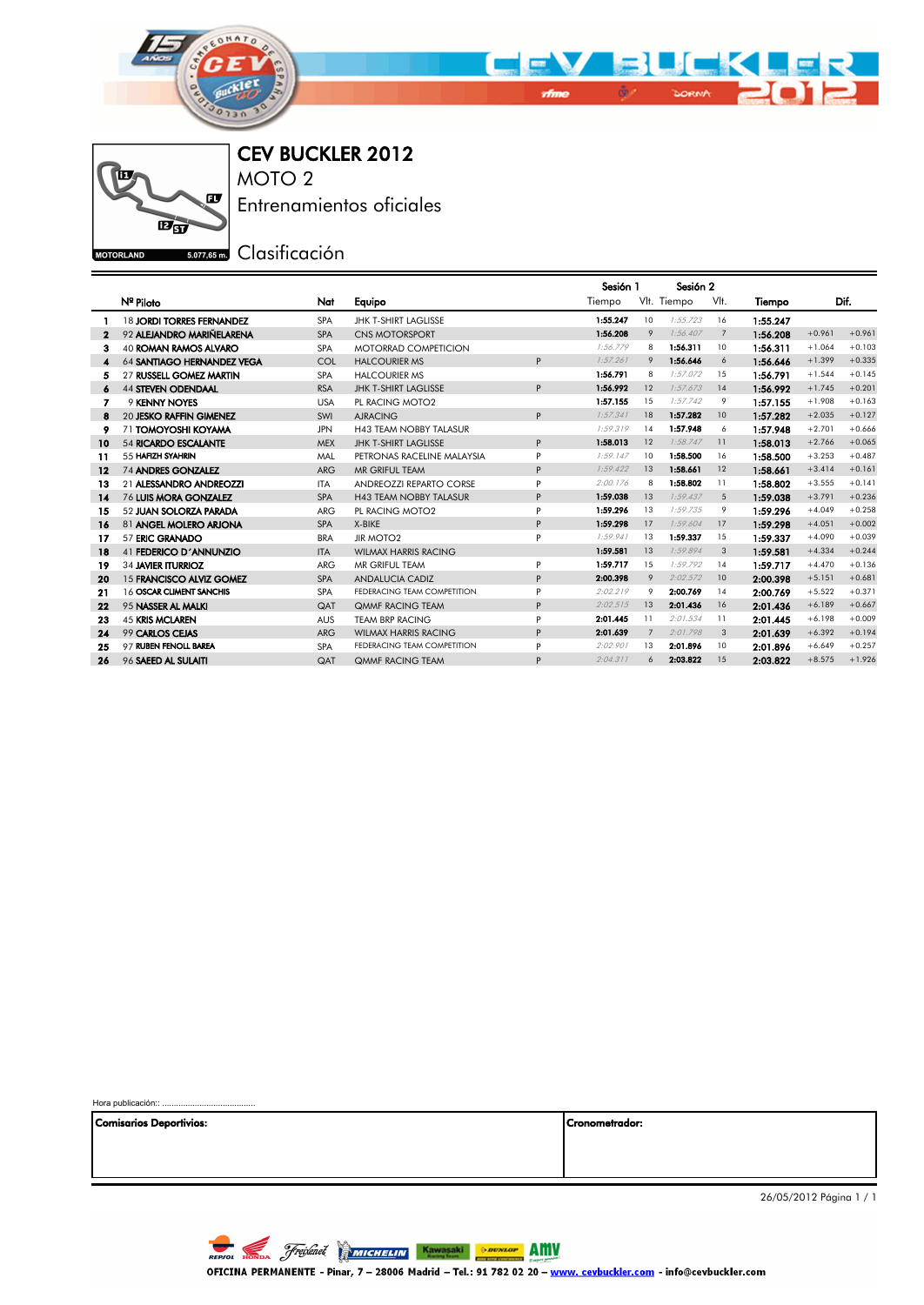



CEV BUCKLER 2012 MOTO 2

Entrenamientos oficiales

**ESO77,65 mm** Clasificación

|              |                                  |            |                               | Sesión 2<br>Sesión 1 |          |    |             |            |          |          |          |
|--------------|----------------------------------|------------|-------------------------------|----------------------|----------|----|-------------|------------|----------|----------|----------|
|              | Nº Piloto                        | Nat        | Equipo                        |                      | Tiempo   |    | VIt. Tiempo | VIt.       | Tiempo   |          | Dif.     |
|              | <b>18 JORDI TORRES FERNANDEZ</b> | <b>SPA</b> | <b>JHK T-SHIRT LAGLISSE</b>   |                      | 1:55.247 | 10 | 1:55.723    | 16         | 1:55.247 |          |          |
| $\mathbf{2}$ | 92 ALEJANDRO MARIÑELARENA        | <b>SPA</b> | <b>CNS MOTORSPORT</b>         |                      | 1:56.208 | 9  | 1:56.407    | 7          | 1:56.208 | $+0.961$ | $+0.961$ |
| 3            | <b>40 ROMAN RAMOS ALVARO</b>     | <b>SPA</b> | <b>MOTORRAD COMPETICION</b>   |                      | 1:56.779 | 8  | 1:56.311    | 10         | 1:56.311 | $+1.064$ | $+0.103$ |
| 4            | 64 SANTIAGO HERNANDEZ VEGA       | COL        | <b>HALCOURIER MS</b>          | P                    | 1:57.261 | 9  | 1:56.646    | 6          | 1:56.646 | $+1.399$ | $+0.335$ |
| 5            | 27 RUSSELL GOMEZ MARTIN          | <b>SPA</b> | <b>HALCOURIER MS</b>          |                      | 1:56.791 | 8  | 1:57.072    | 15         | 1:56.791 | $+1.544$ | $+0.145$ |
| 6            | <b>44 STEVEN ODENDAAL</b>        | <b>RSA</b> | <b>JHK T-SHIRT LAGLISSE</b>   | P                    | 1:56.992 | 12 | 1:57.673    | 14         | 1:56.992 | $+1.745$ | $+0.201$ |
| 7            | 9 KENNY NOYES                    | <b>USA</b> | PL RACING MOTO2               |                      | 1:57.155 | 15 | 1:57.742    | 9          | 1:57.155 | $+1.908$ | $+0.163$ |
| 8            | 20 JESKO RAFFIN GIMENEZ          | SWI        | <b>AJRACING</b>               | P                    | 1:57.341 | 18 | 1:57.282    | 10         | 1:57.282 | $+2.035$ | $+0.127$ |
| 9            | 71 TOMOYOSHI KOYAMA              | <b>JPN</b> | <b>H43 TEAM NOBBY TALASUR</b> |                      | 1:59.319 | 14 | 1:57.948    | 6          | 1:57.948 | $+2.701$ | $+0.666$ |
| 10           | <b>54 RICARDO ESCALANTE</b>      | <b>MEX</b> | <b>JHK T-SHIRT LAGLISSE</b>   | P                    | 1:58.013 | 12 | 1:58.747    | 11         | 1:58.013 | $+2.766$ | $+0.065$ |
| 11           | 55 HAFIZH SYAHRIN                | MAL        | PETRONAS RACELINE MALAYSIA    | P                    | 1:59.147 | 10 | 1:58.500    | 16         | 1:58.500 | $+3.253$ | $+0.487$ |
| $12 \,$      | <b>74 ANDRES GONZALEZ</b>        | <b>ARG</b> | MR GRIFUL TEAM                | P                    | 1:59.422 | 13 | 1:58.661    | 12         | 1:58.661 | $+3.414$ | $+0.161$ |
| 13           | 21 ALESSANDRO ANDREOZZI          | <b>ITA</b> | ANDREOZZI REPARTO CORSE       | P                    | 2:00.176 | 8  | 1:58.802    | 11         | 1:58.802 | $+3.555$ | $+0.141$ |
| 14           | 76 LUIS MORA GONZALEZ            | <b>SPA</b> | <b>H43 TEAM NOBBY TALASUR</b> | P                    | 1:59.038 | 13 | 1:59.437    | $\sqrt{5}$ | 1:59.038 | $+3.791$ | $+0.236$ |
| 15           | 52 JUAN SOLORZA PARADA           | <b>ARG</b> | PL RACING MOTO2               | P                    | 1:59.296 | 13 | 1:59.735    | 9          | 1:59.296 | $+4.049$ | $+0.258$ |
| 16           | 81 ANGEL MOLERO ARIONA           | <b>SPA</b> | X-BIKE                        | P                    | 1:59.298 | 17 | 1:59.604    | 17         | 1:59.298 | $+4.051$ | $+0.002$ |
| 17           | 57 ERIC GRANADO                  | <b>BRA</b> | <b>JIR MOTO2</b>              | P                    | 1:59.941 | 13 | 1:59.337    | 15         | 1:59.337 | $+4.090$ | $+0.039$ |
| 18           | 41 FEDERICO D'ANNUNZIO           | <b>ITA</b> | <b>WILMAX HARRIS RACING</b>   |                      | 1:59.581 | 13 | 1:59.894    | 3          | 1:59.581 | $+4.334$ | $+0.244$ |
| 19           | 34 JAVIER ITURRIOZ               | <b>ARG</b> | MR GRIFUL TEAM                | P                    | 1:59.717 | 15 | 1:59.792    | 14         | 1:59.717 | $+4.470$ | $+0.136$ |
| 20           | 15 FRANCISCO ALVIZ GOMEZ         | <b>SPA</b> | <b>ANDALUCIA CADIZ</b>        | P                    | 2:00.398 | 9  | 2:02.572    | 10         | 2:00.398 | $+5.151$ | $+0.681$ |
| 21           | 16 OSCAR CLIMENT SANCHIS         | <b>SPA</b> | FEDERACING TEAM COMPETITION   | P                    | 2:02.219 | 9  | 2:00.769    | 14         | 2:00.769 | $+5.522$ | $+0.371$ |
| 22           | 95 NASSER AL MALKI               | QAT        | <b>OMMF RACING TEAM</b>       | P                    | 2:02.515 | 13 | 2:01.436    | 16         | 2:01.436 | $+6.189$ | $+0.667$ |
| 23           | <b>45 KRIS MCLAREN</b>           | <b>AUS</b> | <b>TEAM BRP RACING</b>        | P                    | 2:01.445 | 11 | 2:01.534    | 11         | 2:01.445 | $+6.198$ | $+0.009$ |
| 24           | 99 CARLOS CEJAS                  | <b>ARG</b> | <b>WILMAX HARRIS RACING</b>   | P                    | 2:01.639 | 7  | 2:01.798    | 3          | 2:01.639 | $+6.392$ | $+0.194$ |
| 25           | 97 RUBEN FENOLL BAREA            | <b>SPA</b> | FEDERACING TEAM COMPETITION   | P                    | 2:02.901 | 13 | 2:01.896    | 10         | 2:01.896 | $+6.649$ | $+0.257$ |
| 26           | 96 SAEED AL SULAITI              | QAT        | <b>QMMF RACING TEAM</b>       | P                    | 2:04.311 | 6  | 2:03.822    | 15         | 2:03.822 | $+8.575$ | $+1.926$ |

Hora publicación::

Comisarios Deportivios: Cronometrador:

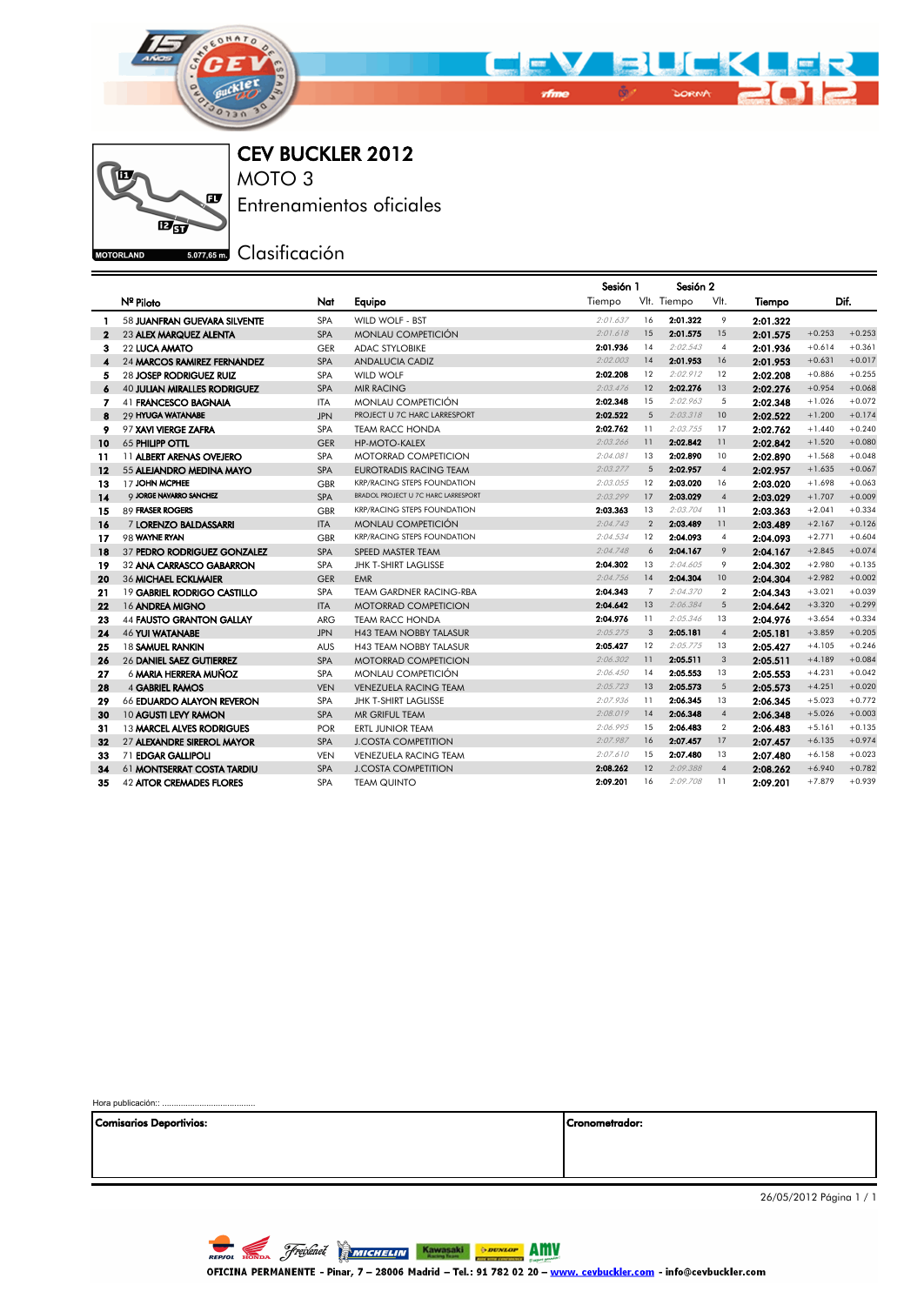



Hora publicación:

CEV BUCKLER 2012 MOTO 3

Entrenamientos oficiales

**E 5.077.65mm** Clasificación

|                  |                                     |            |                                     | Sesión 1 |                | Sesión 2    |                |          |          |          |
|------------------|-------------------------------------|------------|-------------------------------------|----------|----------------|-------------|----------------|----------|----------|----------|
|                  | Nº Piloto                           | Nat        | Equipo                              | Tiempo   |                | Vlt. Tiempo | VIt.           | Tiempo   |          | Dif.     |
| 1                | 58 JUANFRAN GUEVARA SILVENTE        | <b>SPA</b> | WILD WOLF - BST                     | 2:01.637 | 16             | 2:01.322    | 9              | 2:01.322 |          |          |
| $\mathbf{2}$     | 23 ALEX MARQUEZ ALENTA              | <b>SPA</b> | <b>MONLAU COMPETICIÓN</b>           | 2:01.618 | 15             | 2:01.575    | 15             | 2:01.575 | $+0.253$ | $+0.253$ |
| з                | 22 LUCA AMATO                       | <b>GER</b> | <b>ADAC STYLOBIKE</b>               | 2:01.936 | 14             | 2:02.543    | $\overline{4}$ | 2:01.936 | $+0.614$ | $+0.361$ |
| $\blacktriangle$ | 24 MARCOS RAMIREZ FERNANDEZ         | <b>SPA</b> | <b>ANDALUCIA CADIZ</b>              | 2:02.003 | 14             | 2:01.953    | 16             | 2:01.953 | $+0.631$ | $+0.017$ |
| 5                | 28 JOSEP RODRIGUEZ RUIZ             | <b>SPA</b> | <b>WILD WOLF</b>                    | 2:02.208 | 12             | 2:02.912    | 12             | 2:02.208 | $+0.886$ | $+0.255$ |
| 6                | <b>40 JULIAN MIRALLES RODRIGUEZ</b> | <b>SPA</b> | <b>MIR RACING</b>                   | 2:03.476 | 12             | 2:02.276    | 13             | 2:02.276 | $+0.954$ | $+0.068$ |
| 7                | 41 FRANCESCO BAGNAIA                | <b>ITA</b> | <b>MONLAU COMPETICIÓN</b>           | 2:02.348 | 15             | 2:02.963    | 5              | 2:02.348 | $+1.026$ | $+0.072$ |
| 8                | 29 HYUGA WATANABE                   | <b>JPN</b> | PROJECT U 7C HARC LARRESPORT        | 2:02.522 | 5              | 2:03.318    | 10             | 2:02.522 | $+1.200$ | $+0.174$ |
| 9                | 97 XAVI VIERGE ZAFRA                | <b>SPA</b> | <b>TEAM RACC HONDA</b>              | 2:02.762 | 11             | 2:03.755    | 17             | 2:02.762 | $+1.440$ | $+0.240$ |
| 10               | 65 PHILIPP OTTL                     | <b>GER</b> | <b>HP-MOTO-KALEX</b>                | 2:03.266 | 11             | 2:02.842    | 11             | 2:02.842 | $+1.520$ | $+0.080$ |
| 11               | 11 ALBERT ARENAS OVEJERO            | <b>SPA</b> | <b>MOTORRAD COMPETICION</b>         | 2:04.081 | 13             | 2:02.890    | 10             | 2:02.890 | $+1.568$ | $+0.048$ |
| $12 \,$          | 55 ALEJANDRO MEDINA MAYO            | <b>SPA</b> | <b>EUROTRADIS RACING TEAM</b>       | 2:03.277 | 5              | 2:02.957    | $\overline{4}$ | 2:02.957 | $+1.635$ | $+0.067$ |
| 13               | 17 JOHN MCPHEE                      | <b>GBR</b> | <b>KRP/RACING STEPS FOUNDATION</b>  | 2:03.055 | 12             | 2:03.020    | 16             | 2:03.020 | $+1.698$ | $+0.063$ |
| 14               | <b>Q JORGE NAVARRO SANCHEZ</b>      | <b>SPA</b> | BRADOL PROJECT U 7C HARC LARRESPORT | 2:03.299 | 17             | 2:03.029    | $\overline{4}$ | 2:03.029 | $+1.707$ | $+0.009$ |
| 15               | 89 FRASER ROGERS                    | <b>GBR</b> | <b>KRP/RACING STEPS FOUNDATION</b>  | 2:03.363 | 13             | 2:03.704    | 11             | 2:03.363 | $+2.041$ | $+0.334$ |
| 16               | 7 LORENZO BALDASSARRI               | <b>ITA</b> | <b>MONLAU COMPETICIÓN</b>           | 2:04.743 | $\overline{2}$ | 2:03.489    | 11             | 2:03.489 | $+2.167$ | $+0.126$ |
| 17               | 98 WAYNE RYAN                       | <b>GBR</b> | <b>KRP/RACING STEPS FOUNDATION</b>  | 2:04.534 | 12             | 2:04.093    | $\overline{4}$ | 2:04.093 | $+2.771$ | $+0.604$ |
| 18               | 37 PEDRO RODRIGUEZ GONZALEZ         | <b>SPA</b> | SPEED MASTER TEAM                   | 2:04.748 | 6              | 2:04.167    | 9              | 2:04.167 | $+2.845$ | $+0.074$ |
| 19               | 32 ANA CARRASCO GABARRON            | <b>SPA</b> | <b>JHK T-SHIRT LAGLISSE</b>         | 2:04.302 | 13             | 2:04.605    | 9              | 2:04.302 | $+2.980$ | $+0.135$ |
| 20               | 36 MICHAEL ECKLMAIER                | <b>GER</b> | <b>EMR</b>                          | 2:04.756 | 14             | 2:04.304    | 10             | 2:04.304 | $+2.982$ | $+0.002$ |
| 21               | 19 GABRIEL RODRIGO CASTILLO         | <b>SPA</b> | <b>TEAM GARDNER RACING-RBA</b>      | 2:04.343 | $\overline{7}$ | 2:04.370    | $\overline{2}$ | 2:04.343 | $+3.021$ | $+0.039$ |
| 22               | 16 ANDREA MIGNO                     | <b>ITA</b> | <b>MOTORRAD COMPETICION</b>         | 2:04.642 | 13             | 2:06.384    | 5              | 2:04.642 | $+3.320$ | $+0.299$ |
| 23               | 44 FAUSTO GRANTON GALLAY            | <b>ARG</b> | <b>TEAM RACC HONDA</b>              | 2:04.976 | 11             | 2:05.346    | 13             | 2:04.976 | $+3.654$ | $+0.334$ |
| 24               | <b>46 YUI WATANABE</b>              | <b>JPN</b> | <b>H43 TEAM NOBBY TALASUR</b>       | 2:05.275 | 3              | 2:05.181    | $\overline{4}$ | 2:05.181 | $+3.859$ | $+0.205$ |
| 25               | 18 SAMUEL RANKIN                    | <b>AUS</b> | <b>H43 TEAM NOBBY TALASUR</b>       | 2:05.427 | 12             | 2:05.775    | 13             | 2:05.427 | $+4.105$ | $+0.246$ |
| 26               | 26 DANIEL SAEZ GUTIERREZ            | <b>SPA</b> | <b>MOTORRAD COMPETICION</b>         | 2:06.302 | 11             | 2:05.511    | 3              | 2:05.511 | $+4.189$ | $+0.084$ |
| 27               | 6 MARIA HERRERA MUÑOZ               | <b>SPA</b> | MONLAU COMPETICIÓN                  | 2:06.450 | 14             | 2:05.553    | 13             | 2:05.553 | $+4.231$ | $+0.042$ |
| 28               | <b>4 GABRIEL RAMOS</b>              | <b>VEN</b> | <b>VENEZUELA RACING TEAM</b>        | 2:05.723 | 13             | 2:05.573    | $\sqrt{5}$     | 2:05.573 | $+4.251$ | $+0.020$ |
| 29               | 66 EDUARDO ALAYON REVERON           | <b>SPA</b> | JHK T-SHIRT LAGLISSE                | 2:07.936 | 11             | 2:06.345    | 13             | 2:06.345 | $+5.023$ | $+0.772$ |
| 30               | 10 AGUSTI LEVY RAMON                | <b>SPA</b> | MR GRIFUL TEAM                      | 2:08.019 | 14             | 2:06.348    | $\overline{4}$ | 2:06.348 | $+5.026$ | $+0.003$ |
| 31               | 13 MARCEL ALVES RODRIGUES           | <b>POR</b> | <b>ERTL JUNIOR TEAM</b>             | 2:06.995 | 15             | 2:06.483    | $\overline{2}$ | 2:06.483 | $+5.161$ | $+0.135$ |
| 32               | 27 ALEXANDRE SIREROL MAYOR          | <b>SPA</b> | <b>J.COSTA COMPETITION</b>          | 2:07.987 | 16             | 2:07.457    | 17             | 2:07.457 | $+6.135$ | $+0.974$ |
| 33               | 71 EDGAR GALLIPOLI                  | <b>VEN</b> | <b>VENEZUELA RACING TEAM</b>        | 2:07.610 | 15             | 2:07.480    | 13             | 2:07.480 | $+6.158$ | $+0.023$ |
| 34               | 61 MONTSERRAT COSTA TARDIU          | <b>SPA</b> | <b>J.COSTA COMPETITION</b>          | 2:08.262 | 12             | 2:09.388    | $\overline{4}$ | 2:08.262 | $+6.940$ | $+0.782$ |
| 35               | <b>42 AITOR CREMADES FLORES</b>     | SPA        | <b>TEAM QUINTO</b>                  | 2:09.201 | 16             | 2:09.708    | 11             | 2:09.201 | $+7.879$ | $+0.939$ |

| Comisarios Deportivios: | Cronometrador: |
|-------------------------|----------------|
|                         |                |
|                         |                |
|                         |                |

26/05/2012 Página 1 / 1